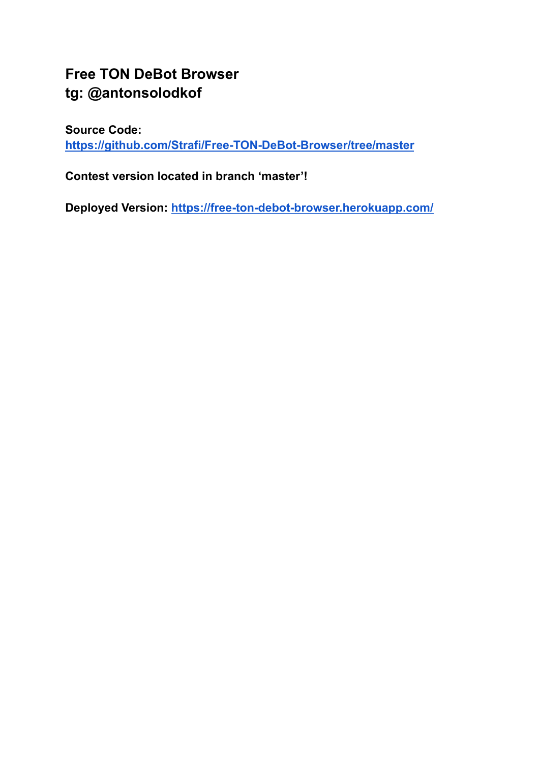# **Free TON DeBot Browser tg: @antonsolodkof**

**Source Code:**

**<https://github.com/Strafi/Free-TON-DeBot-Browser/tree/master>**

**Contest version located in branch 'master'!**

**Deployed Version: <https://free-ton-debot-browser.herokuapp.com/>**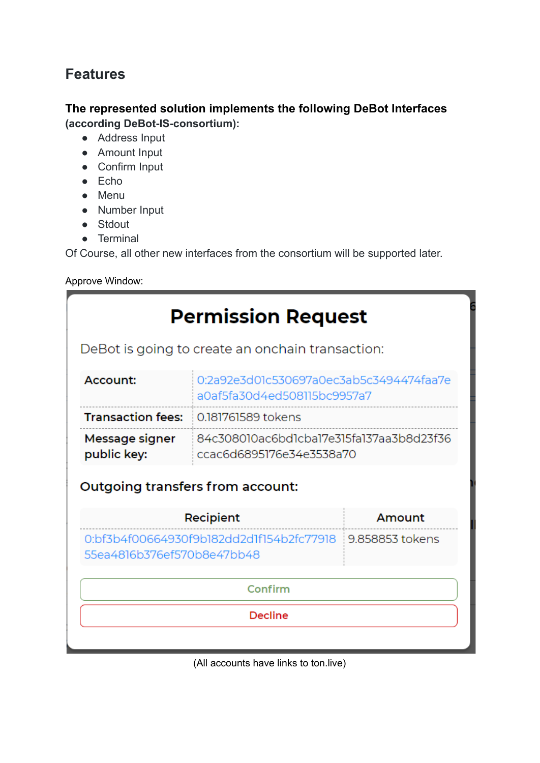# **Features**

## **The represented solution implements the following DeBot Interfaces (according DeBot-IS-consortium):**

- Address Input
- Amount Input
- Confirm Input
- $\bullet$  Echo
- Menu
- Number Input
- Stdout
- Terminal

Of Course, all other new interfaces from the consortium will be supported later.

Approve Window:

| <b>Permission Request</b>                                                              |                                                                        |        |  |  |  |  |
|----------------------------------------------------------------------------------------|------------------------------------------------------------------------|--------|--|--|--|--|
| DeBot is going to create an onchain transaction:                                       |                                                                        |        |  |  |  |  |
| Account:                                                                               | 0:2a92e3d01c530697a0ec3ab5c3494474faa7e<br>a0af5fa30d4ed508115bc9957a7 |        |  |  |  |  |
| <b>Transaction fees:</b>                                                               | 0.181761589 tokens                                                     |        |  |  |  |  |
| Message signer<br>public key:                                                          | 84c308010ac6bd1cba17e315fa137aa3b8d23f36<br>ccac6d6895176e34e3538a70   |        |  |  |  |  |
| Outgoing transfers from account:                                                       |                                                                        |        |  |  |  |  |
| Recipient                                                                              |                                                                        | Amount |  |  |  |  |
| 0:bf3b4f00664930f9b182dd2d1f154b2fc77918 9.858853 tokens<br>55ea4816b376ef570b8e47bb48 |                                                                        |        |  |  |  |  |
| Confirm                                                                                |                                                                        |        |  |  |  |  |
| <b>Decline</b>                                                                         |                                                                        |        |  |  |  |  |
|                                                                                        |                                                                        |        |  |  |  |  |

(All accounts have links to ton.live)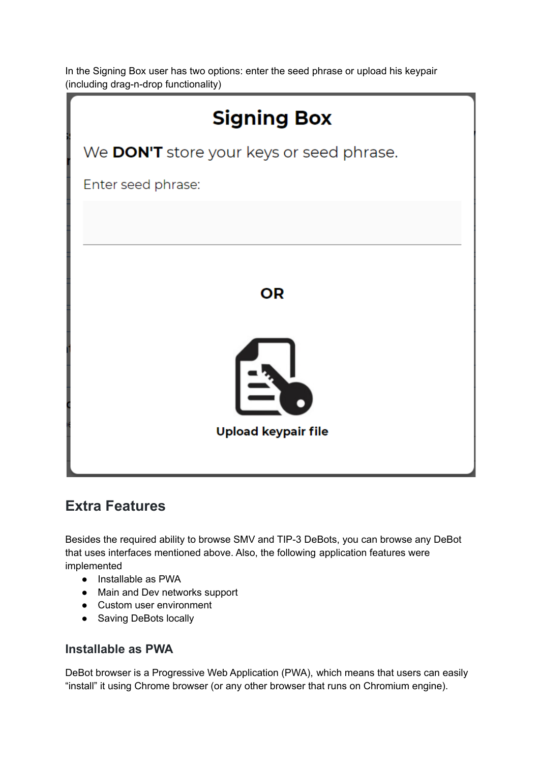In the Signing Box user has two options: enter the seed phrase or upload his keypair (including drag-n-drop functionality)



## **Extra Features**

Besides the required ability to browse SMV and TIP-3 DeBots, you can browse any DeBot that uses interfaces mentioned above. Also, the following application features were implemented

- Installable as PWA
- Main and Dev networks support
- Custom user environment
- Saving DeBots locally

### **Installable as PWA**

DeBot browser is a Progressive Web Application (PWA), which means that users can easily "install" it using Chrome browser (or any other browser that runs on Chromium engine).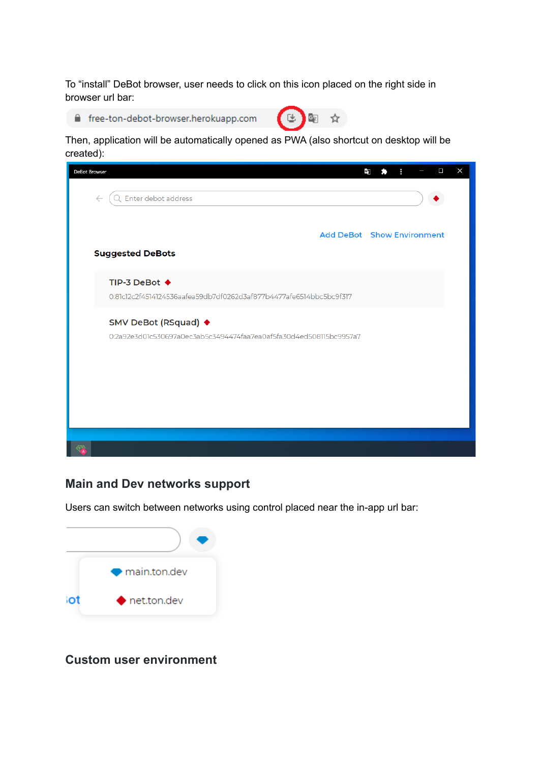To "install" DeBot browser, user needs to click on this icon placed on the right side in browser url bar:

free-ton-debot-browser.herokuapp.com



Then, application will be automatically opened as PWA (also shortcut on desktop will be created):



### **Main and Dev networks support**

Users can switch between networks using control placed near the in-app url bar:



**Custom user environment**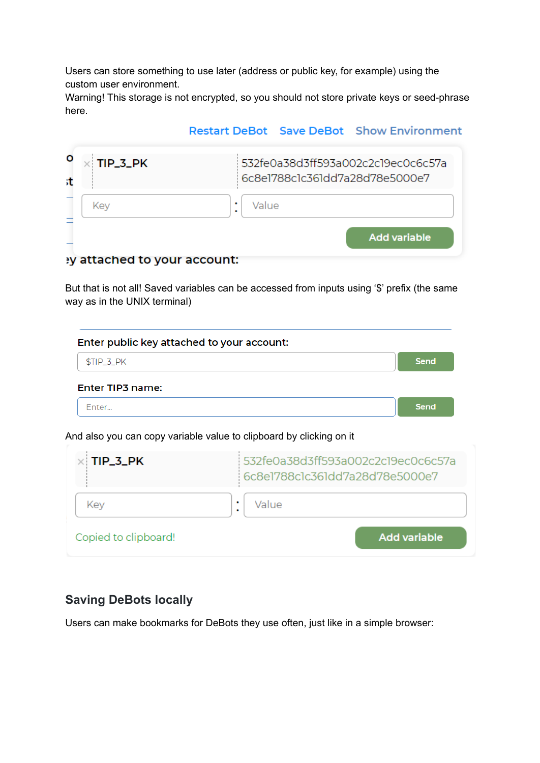Users can store something to use later (address or public key, for example) using the custom user environment.

Warning! This storage is not encrypted, so you should not store private keys or seed-phrase here.

### **Restart DeBot Save DeBot Show Environment**

| TIP_3_PK                         | 532fe0a38d3ff593a002c2c19ec0c6c57a<br>6c8e1788c1c361dd7a28d78e5000e7 |
|----------------------------------|----------------------------------------------------------------------|
| Kev                              | ٠<br>Value<br>٠                                                      |
| $\sim$ ttached to valle account: | <b>Add variable</b>                                                  |

#### y attached to your account:

But that is not all! Saved variables can be accessed from inputs using '\$' prefix (the same way as in the UNIX terminal)

| Enter public key attached to your account: |      |
|--------------------------------------------|------|
| $STIP_3_PK$                                | Send |
| Enter TIP3 name:                           |      |
| Fnter                                      | Send |

And also you can copy variable value to clipboard by clicking on it

| $\times$ TIP_3_PK    | 532fe0a38d3ff593a002c2c19ec0c6c57a<br>6c8e1788c1c361dd7a28d78e5000e7 |  |
|----------------------|----------------------------------------------------------------------|--|
| Kev                  | Value                                                                |  |
| Copied to clipboard! | <b>Add variable</b>                                                  |  |

## **Saving DeBots locally**

Users can make bookmarks for DeBots they use often, just like in a simple browser: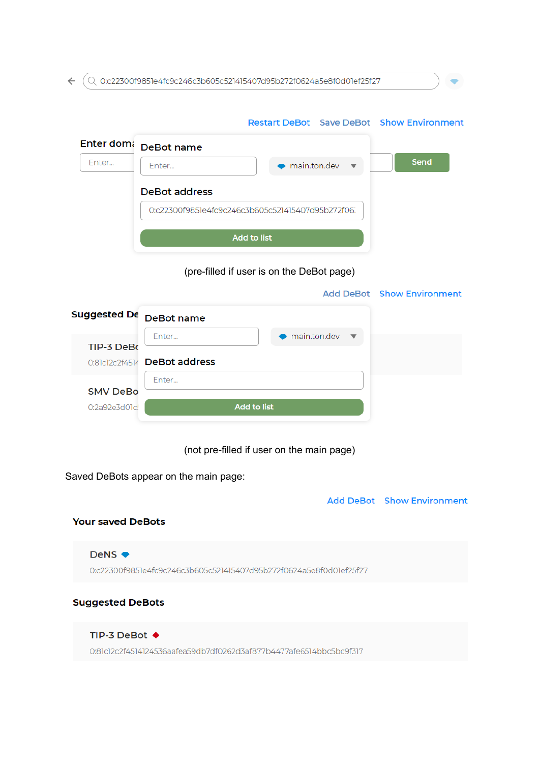$\leftarrow$   $(Q$  0:c22300f9851e4fc9c246c3b605c521415407d95b272f0624a5e8f0d01ef25f27

|                     |                                                   | <b>Restart DeBot</b> Save DeBot Show Environment |                                   |  |
|---------------------|---------------------------------------------------|--------------------------------------------------|-----------------------------------|--|
| Enter dom:          | DeBot name                                        |                                                  |                                   |  |
| Enter               | Enter                                             | main.ton.dev                                     | <b>Send</b>                       |  |
|                     | <b>DeBot address</b>                              |                                                  |                                   |  |
|                     | 0:c22300f9851e4fc9c246c3b605c521415407d95b272f06. |                                                  |                                   |  |
|                     |                                                   | <b>Add to list</b>                               |                                   |  |
|                     |                                                   | (pre-filled if user is on the DeBot page)        |                                   |  |
|                     |                                                   |                                                  | <b>Add DeBot Show Environment</b> |  |
| <b>Suggested De</b> | DeBot name                                        |                                                  |                                   |  |
| TIP-3 DeBo          | Enter                                             | main.ton.dev                                     |                                   |  |
|                     | 0:81c12c2f4514 DeBot address                      |                                                  |                                   |  |
| <b>SMV DeBo</b>     | Enter                                             |                                                  |                                   |  |
| 0:2a92e3d01c!       | <b>Add to list</b>                                |                                                  |                                   |  |
|                     |                                                   |                                                  |                                   |  |

(not pre-filled if user on the main page)

Saved DeBots appear on the main page:

**Add DeBot** Show Environment

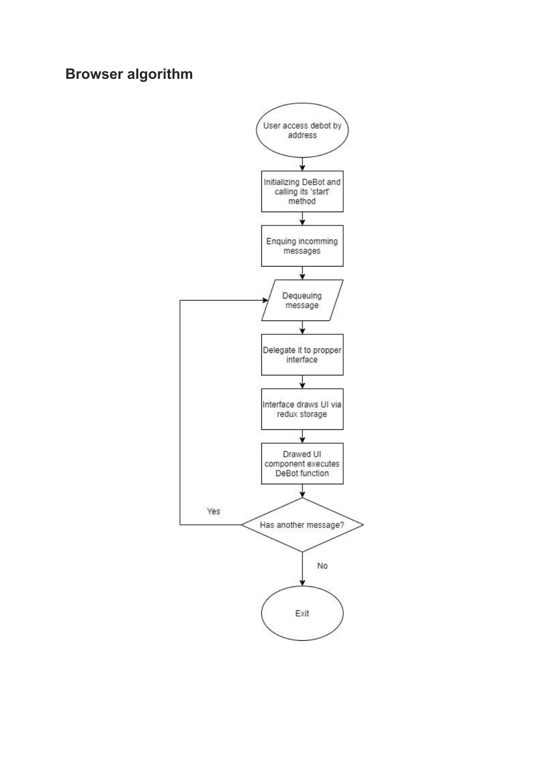## **Browser algorithm**